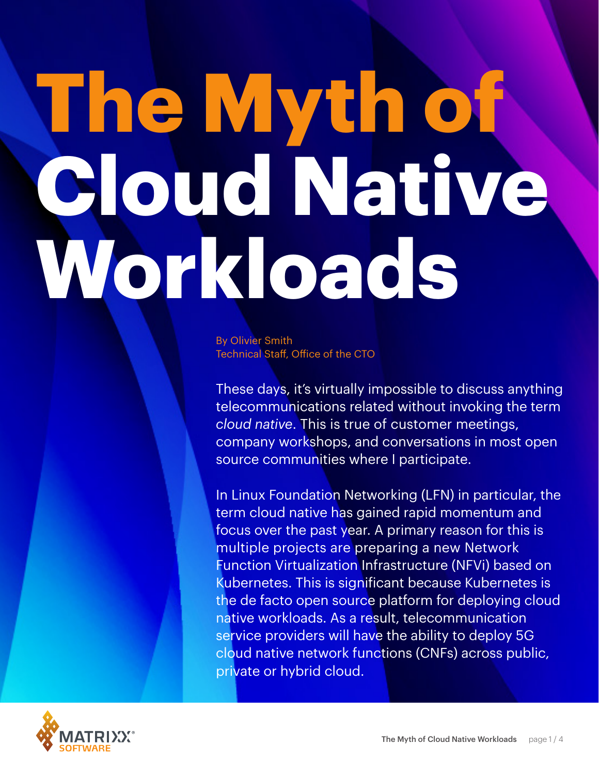# **The Myth of Cloud Native Workloads**

By Olivier Smith Technical Staff, Office of the CTO

These days, it's virtually impossible to discuss anything telecommunications related without invoking the term *cloud native*. This is true of customer meetings, company workshops, and conversations in most open source communities where I participate.

In Linux Foundation Networking (LFN) in particular, the term cloud native has gained rapid momentum and focus over the past year. A primary reason for this is multiple projects are preparing a new Network Function Virtualization Infrastructure (NFVi) based on Kubernetes. This is significant because Kubernetes is the de facto open source platform for deploying cloud native workloads. As a result, telecommunication service providers will have the ability to deploy 5G cloud native network functions (CNFs) across public, private or hybrid cloud.

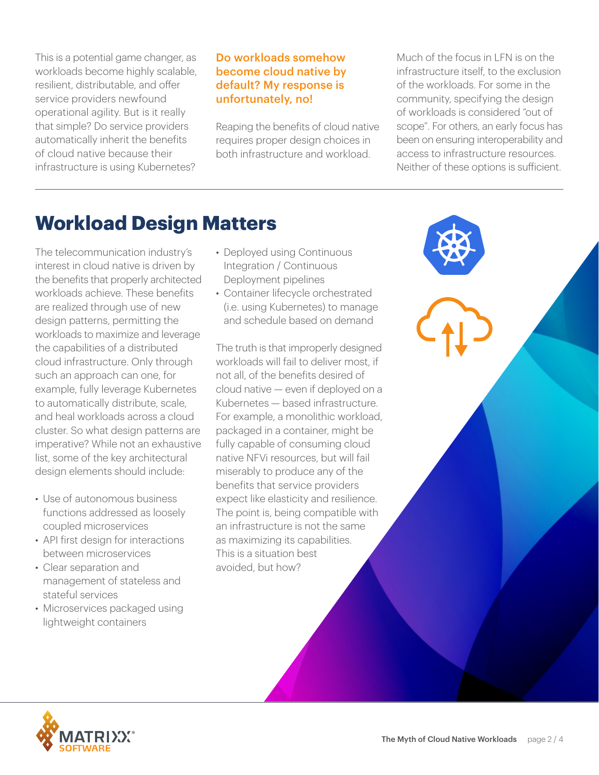This is a potential game changer, as workloads become highly scalable, resilient, distributable, and offer service providers newfound operational agility. But is it really that simple? Do service providers automatically inherit the benefits of cloud native because their infrastructure is using Kubernetes?

#### Do workloads somehow become cloud native by default? My response is unfortunately, no!

Reaping the benefits of cloud native requires proper design choices in both infrastructure and workload.

Much of the focus in LFN is on the infrastructure itself, to the exclusion of the workloads. For some in the community, specifying the design of workloads is considered "out of scope". For others, an early focus has been on ensuring interoperability and access to infrastructure resources. Neither of these options is sufficient.

## **Workload Design Matters**

The telecommunication industry's interest in cloud native is driven by the benefits that properly architected workloads achieve. These benefits are realized through use of new design patterns, permitting the workloads to maximize and leverage the capabilities of a distributed cloud infrastructure. Only through such an approach can one, for example, fully leverage Kubernetes to automatically distribute, scale, and heal workloads across a cloud cluster. So what design patterns are imperative? While not an exhaustive list, some of the key architectural design elements should include:

- Use of autonomous business functions addressed as loosely coupled microservices
- API first design for interactions between microservices
- Clear separation and management of stateless and stateful services
- Microservices packaged using lightweight containers
- Deployed using Continuous Integration / Continuous Deployment pipelines
- Container lifecycle orchestrated (i.e. using Kubernetes) to manage and schedule based on demand

The truth is that improperly designed workloads will fail to deliver most, if not all, of the benefits desired of cloud native — even if deployed on a Kubernetes — based infrastructure. For example, a monolithic workload, packaged in a container, might be fully capable of consuming cloud native NFVi resources, but will fail miserably to produce any of the benefits that service providers expect like elasticity and resilience. The point is, being compatible with an infrastructure is not the same as maximizing its capabilities. This is a situation best avoided, but how?

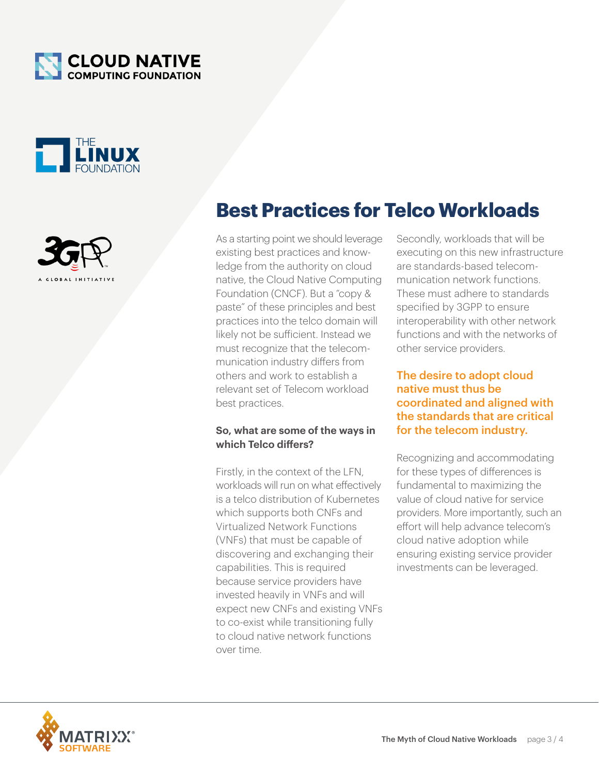





**Best Practices for Telco Workloads**

As a starting point we should leverage existing best practices and knowledge from the authority on cloud native, the Cloud Native Computing Foundation (CNCF). But a "copy & paste" of these principles and best practices into the telco domain will likely not be sufficient. Instead we must recognize that the telecommunication industry differs from others and work to establish a relevant set of Telecom workload best practices.

#### **So, what are some of the ways in which Telco differs?**

Firstly, in the context of the LFN, workloads will run on what effectively is a telco distribution of Kubernetes which supports both CNFs and Virtualized Network Functions (VNFs) that must be capable of discovering and exchanging their capabilities. This is required because service providers have invested heavily in VNFs and will expect new CNFs and existing VNFs to co-exist while transitioning fully to cloud native network functions over time.

Secondly, workloads that will be executing on this new infrastructure are standards-based telecommunication network functions. These must adhere to standards specified by 3GPP to ensure interoperability with other network functions and with the networks of other service providers.

#### The desire to adopt cloud native must thus be coordinated and aligned with the standards that are critical for the telecom industry.

Recognizing and accommodating for these types of differences is fundamental to maximizing the value of cloud native for service providers. More importantly, such an effort will help advance telecom's cloud native adoption while ensuring existing service provider investments can be leveraged.